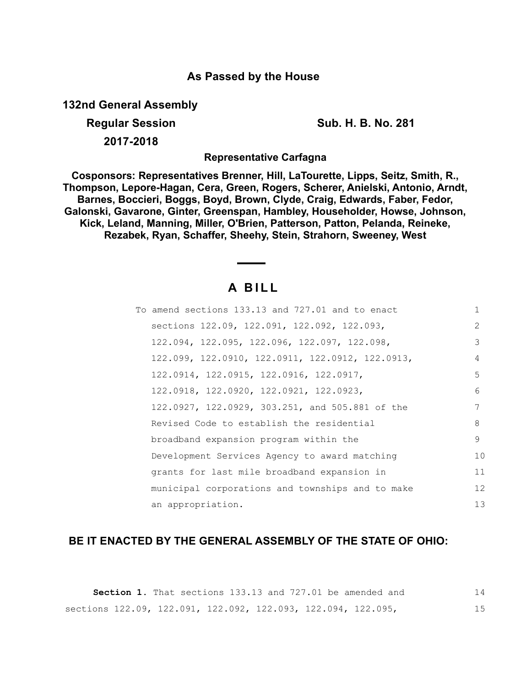### **As Passed by the House**

**132nd General Assembly**

**Regular Session Sub. H. B. No. 281 2017-2018**

**Representative Carfagna**

**Cosponsors: Representatives Brenner, Hill, LaTourette, Lipps, Seitz, Smith, R., Thompson, Lepore-Hagan, Cera, Green, Rogers, Scherer, Anielski, Antonio, Arndt, Barnes, Boccieri, Boggs, Boyd, Brown, Clyde, Craig, Edwards, Faber, Fedor, Galonski, Gavarone, Ginter, Greenspan, Hambley, Householder, Howse, Johnson, Kick, Leland, Manning, Miller, O'Brien, Patterson, Patton, Pelanda, Reineke, Rezabek, Ryan, Schaffer, Sheehy, Stein, Strahorn, Sweeney, West**

# **A B I L L**

| To amend sections 133.13 and 727.01 and to enact | 1             |
|--------------------------------------------------|---------------|
| sections 122.09, 122.091, 122.092, 122.093,      | $\mathcal{L}$ |
| 122.094, 122.095, 122.096, 122.097, 122.098,     | 3             |
| 122.099, 122.0910, 122.0911, 122.0912, 122.0913, | 4             |
| 122.0914, 122.0915, 122.0916, 122.0917,          | 5             |
| 122.0918, 122.0920, 122.0921, 122.0923,          | 6             |
| 122.0927, 122.0929, 303.251, and 505.881 of the  | 7             |
| Revised Code to establish the residential        | 8             |
| broadband expansion program within the           | 9             |
| Development Services Agency to award matching    | 10            |
| grants for last mile broadband expansion in      | 11            |
| municipal corporations and townships and to make | 12            |
| an appropriation.                                | 13            |

## **BE IT ENACTED BY THE GENERAL ASSEMBLY OF THE STATE OF OHIO:**

|                                                               |  |  |  |  |  | <b>Section 1.</b> That sections 133.13 and 727.01 be amended and | 14 |  |
|---------------------------------------------------------------|--|--|--|--|--|------------------------------------------------------------------|----|--|
| sections 122.09, 122.091, 122.092, 122.093, 122.094, 122.095, |  |  |  |  |  |                                                                  |    |  |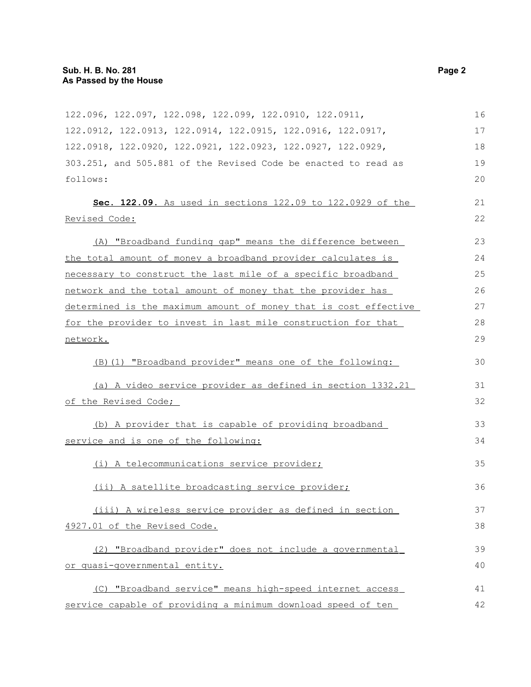| 122.096, 122.097, 122.098, 122.099, 122.0910, 122.0911,          | 16 |
|------------------------------------------------------------------|----|
| 122.0912, 122.0913, 122.0914, 122.0915, 122.0916, 122.0917,      | 17 |
| 122.0918, 122.0920, 122.0921, 122.0923, 122.0927, 122.0929,      | 18 |
| 303.251, and 505.881 of the Revised Code be enacted to read as   | 19 |
| follows:                                                         | 20 |
| Sec. 122.09. As used in sections 122.09 to 122.0929 of the       | 21 |
| Revised Code:                                                    | 22 |
|                                                                  |    |
| (A) "Broadband funding gap" means the difference between         | 23 |
| the total amount of money a broadband provider calculates is     | 24 |
| necessary to construct the last mile of a specific broadband     | 25 |
| network and the total amount of money that the provider has      | 26 |
| determined is the maximum amount of money that is cost effective | 27 |
| for the provider to invest in last mile construction for that    | 28 |
| network.                                                         | 29 |
| (B)(1) "Broadband provider" means one of the following:          | 30 |
|                                                                  |    |
| (a) A video service provider as defined in section 1332.21       | 31 |
| of the Revised Code;                                             | 32 |
| (b) A provider that is capable of providing broadband            | 33 |
| service and is one of the following:                             | 34 |
|                                                                  |    |
| (i) A telecommunications service provider;                       | 35 |
| (ii) A satellite broadcasting service provider;                  | 36 |
|                                                                  |    |
| (iii) A wireless service provider as defined in section          | 37 |
| 4927.01 of the Revised Code.                                     | 38 |
| "Broadband provider" does not include a governmental<br>(2)      | 39 |
| or quasi-governmental entity.                                    | 40 |
| (C) "Broadband service" means high-speed internet access         | 41 |
| service capable of providing a minimum download speed of ten     | 42 |
|                                                                  |    |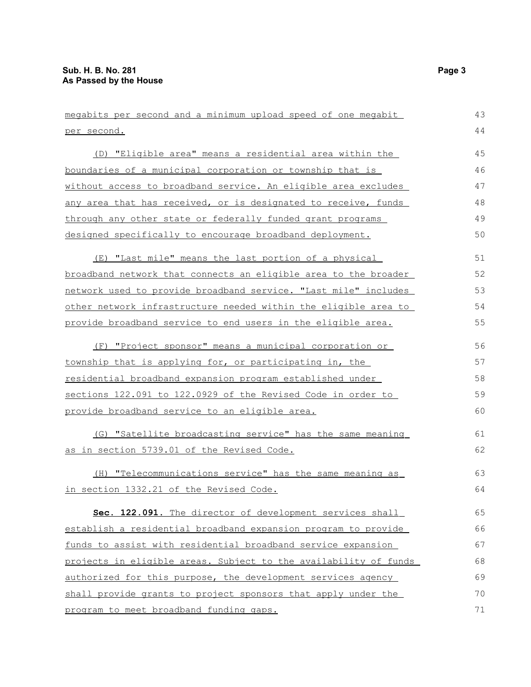| megabits per second and a minimum upload speed of one megabit    | 43 |
|------------------------------------------------------------------|----|
| <u>per second.</u>                                               | 44 |
| (D) "Eligible area" means a residential area within the          | 45 |
| boundaries of a municipal corporation or township that is        | 46 |
| without access to broadband service. An eligible area excludes   | 47 |
| any area that has received, or is designated to receive, funds   | 48 |
| through any other state or federally funded grant programs       | 49 |
| designed specifically to encourage broadband deployment.         | 50 |
| (E) "Last mile" means the last portion of a physical             | 51 |
| broadband network that connects an eligible area to the broader  | 52 |
| network used to provide broadband service. "Last mile" includes  | 53 |
| other network infrastructure needed within the eligible area to  | 54 |
| provide broadband service to end users in the eligible area.     | 55 |
| (F) "Project sponsor" means a municipal corporation or           | 56 |
| township that is applying for, or participating in, the          | 57 |
| <u>residential broadband expansion program established under</u> | 58 |
| sections 122.091 to 122.0929 of the Revised Code in order to     | 59 |
| provide broadband service to an eligible area.                   | 60 |
| (G) "Satellite broadcasting service" has the same meaning        | 61 |
| as in section 5739.01 of the Revised Code.                       | 62 |
| (H) "Telecommunications service" has the same meaning as         | 63 |
| in section 1332.21 of the Revised Code.                          | 64 |
| Sec. 122.091. The director of development services shall         | 65 |
| establish a residential broadband expansion program to provide   | 66 |
| funds to assist with residential broadband service expansion     | 67 |
| projects in eligible areas. Subject to the availability of funds | 68 |
| authorized for this purpose, the development services agency     | 69 |
| shall provide grants to project sponsors that apply under the    | 70 |
| program to meet broadband funding gaps.                          | 71 |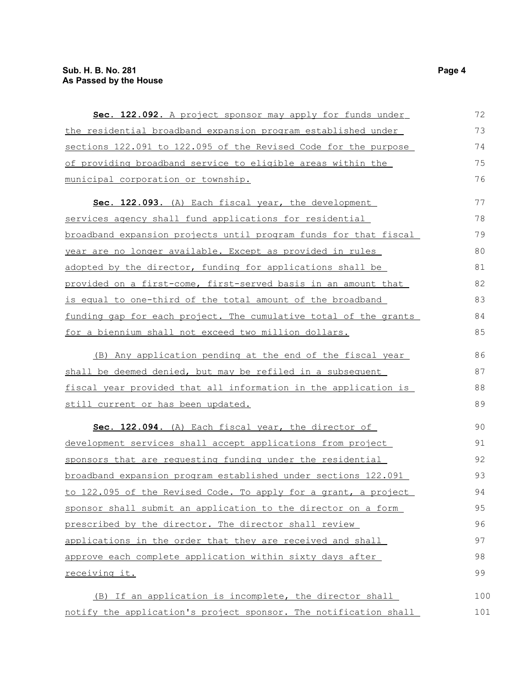| Sec. 122.092. A project sponsor may apply for funds under        | 72  |
|------------------------------------------------------------------|-----|
| the residential broadband expansion program established under    | 73  |
| sections 122.091 to 122.095 of the Revised Code for the purpose  | 74  |
| of providing broadband service to eligible areas within the      | 75  |
| <u>municipal corporation or township.</u>                        | 76  |
| Sec. 122.093. (A) Each fiscal year, the development              | 77  |
| services agency shall fund applications for residential          | 78  |
| broadband expansion projects until program funds for that fiscal | 79  |
| year are no longer available. Except as provided in rules        | 80  |
| adopted by the director, funding for applications shall be       | 81  |
| provided on a first-come, first-served basis in an amount that   | 82  |
| is equal to one-third of the total amount of the broadband       | 83  |
| funding gap for each project. The cumulative total of the grants | 84  |
| for a biennium shall not exceed two million dollars.             | 85  |
| (B) Any application pending at the end of the fiscal year        | 86  |
| shall be deemed denied, but may be refiled in a subsequent       | 87  |
| fiscal year provided that all information in the application is  | 88  |
| still current or has been updated.                               | 89  |
| Sec. 122.094. (A) Each fiscal year, the director of              | 90  |
| development services shall accept applications from project      | 91  |
| sponsors that are requesting funding under the residential       | 92  |
| broadband expansion program established under sections 122.091   | 93  |
| to 122.095 of the Revised Code. To apply for a grant, a project  | 94  |
| sponsor shall submit an application to the director on a form    | 95  |
| prescribed by the director. The director shall review            | 96  |
| applications in the order that they are received and shall       | 97  |
| approve each complete application within sixty days after        | 98  |
| receiving it.                                                    | 99  |
| (B) If an application is incomplete, the director shall          | 100 |
| notify the application's project sponsor. The notification shall | 101 |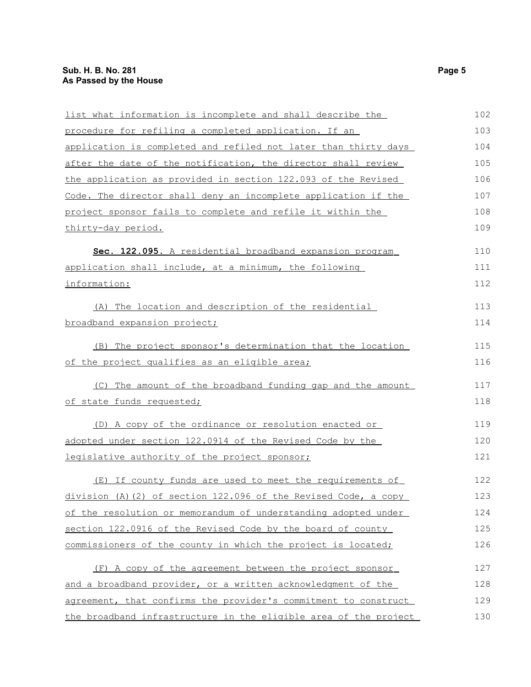| list what information is incomplete and shall describe the        | 102 |
|-------------------------------------------------------------------|-----|
| procedure for refiling a completed application. If an             | 103 |
| application is completed and refiled not later than thirty days   | 104 |
| after the date of the notification, the director shall review     | 105 |
| the application as provided in section 122.093 of the Revised     | 106 |
| Code. The director shall deny an incomplete application if the    | 107 |
| project sponsor fails to complete and refile it within the        | 108 |
| thirty-day period.                                                | 109 |
| Sec. 122.095. A residential broadband expansion program           | 110 |
| application shall include, at a minimum, the following            | 111 |
| information:                                                      | 112 |
| The location and description of the residential<br>(A)            | 113 |
| broadband expansion project;                                      | 114 |
| (B) The project sponsor's determination that the location         | 115 |
| of the project qualifies as an eligible area;                     | 116 |
| (C) The amount of the broadband funding gap and the amount        | 117 |
| of state funds requested;                                         | 118 |
| (D) A copy of the ordinance or resolution enacted or              | 119 |
| adopted under section 122.0914 of the Revised Code by the         | 120 |
| legislative authority of the project sponsor;                     | 121 |
| (E) If county funds are used to meet the requirements of          | 122 |
| $division$ (A) (2) of section 122.096 of the Revised Code, a copy | 123 |
| of the resolution or memorandum of understanding adopted under    | 124 |
| section 122.0916 of the Revised Code by the board of county       | 125 |
| commissioners of the county in which the project is located;      | 126 |
| (F) A copy of the agreement between the project sponsor           | 127 |
| and a broadband provider, or a written acknowledgment of the      | 128 |
| agreement, that confirms the provider's commitment to construct   | 129 |
| the broadband infrastructure in the eligible area of the project  | 130 |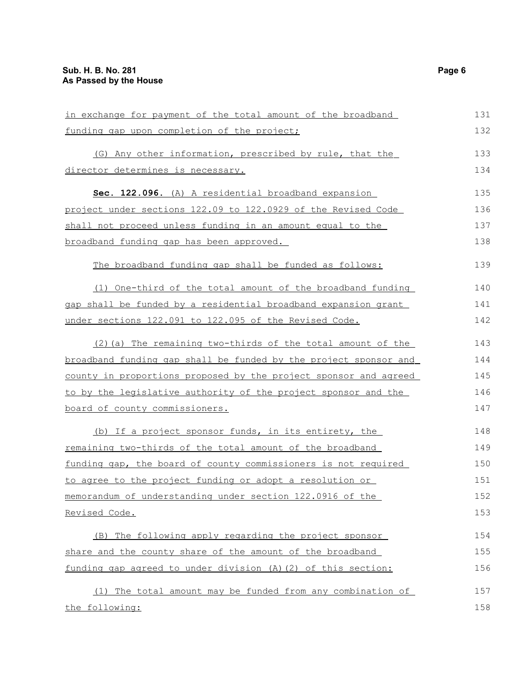| in exchange for payment of the total amount of the broadband     | 131 |
|------------------------------------------------------------------|-----|
| funding gap upon completion of the project;                      | 132 |
| (G) Any other information, prescribed by rule, that the          | 133 |
| director determines is necessary.                                | 134 |
| Sec. 122.096. (A) A residential broadband expansion              | 135 |
| project under sections 122.09 to 122.0929 of the Revised Code    | 136 |
| shall not proceed unless funding in an amount equal to the       | 137 |
| broadband funding gap has been approved.                         | 138 |
| The broadband funding gap shall be funded as follows:            | 139 |
| (1) One-third of the total amount of the broadband funding       | 140 |
| gap shall be funded by a residential broadband expansion grant   | 141 |
| under sections 122.091 to 122.095 of the Revised Code.           | 142 |
| (2) (a) The remaining two-thirds of the total amount of the      | 143 |
| broadband funding gap shall be funded by the project sponsor and | 144 |
| county in proportions proposed by the project sponsor and agreed | 145 |
| to by the legislative authority of the project sponsor and the   | 146 |
| board of county commissioners.                                   | 147 |
| (b) If a project sponsor funds, in its entirety, the             | 148 |
| remaining two-thirds of the total amount of the broadband        | 149 |
| funding gap, the board of county commissioners is not required   | 150 |
| to agree to the project funding or adopt a resolution or         | 151 |
| memorandum of understanding under section 122.0916 of the        | 152 |
| Revised Code.                                                    | 153 |
| (B) The following apply regarding the project sponsor            | 154 |
| share and the county share of the amount of the broadband        | 155 |
| funding gap agreed to under division (A) (2) of this section:    | 156 |
| (1) The total amount may be funded from any combination of       | 157 |
| the following:                                                   | 158 |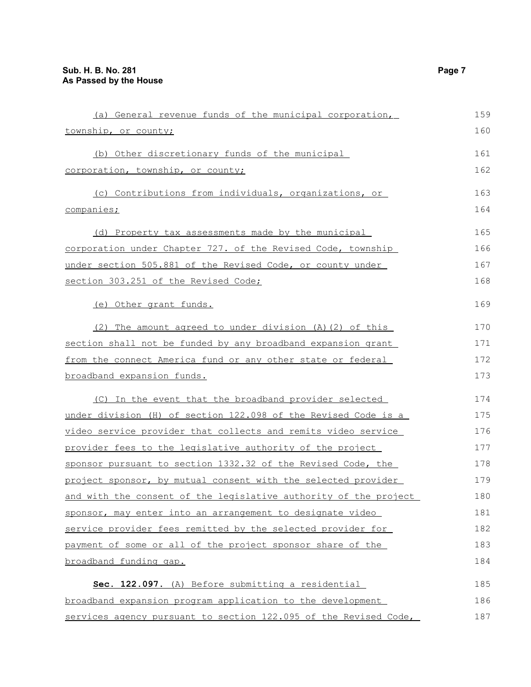| (a) General revenue funds of the municipal corporation,          | 159 |
|------------------------------------------------------------------|-----|
| township, or county;                                             | 160 |
| (b) Other discretionary funds of the municipal                   | 161 |
| corporation, township, or county;                                | 162 |
| (c) Contributions from individuals, organizations, or            | 163 |
| companies;                                                       | 164 |
| (d) Property tax assessments made by the municipal               | 165 |
| corporation under Chapter 727. of the Revised Code, township     | 166 |
| under section 505.881 of the Revised Code, or county under       | 167 |
| section 303.251 of the Revised Code;                             | 168 |
| (e) Other grant funds.                                           | 169 |
| (2) The amount agreed to under division (A) (2) of this          | 170 |
| section shall not be funded by any broadband expansion grant     | 171 |
| from the connect America fund or any other state or federal      | 172 |
| broadband expansion funds.                                       | 173 |
| (C) In the event that the broadband provider selected            | 174 |
| under division (H) of section 122.098 of the Revised Code is a   | 175 |
| video service provider that collects and remits video service    | 176 |
| provider fees to the legislative authority of the project        | 177 |
| sponsor pursuant to section 1332.32 of the Revised Code, the     | 178 |
| project sponsor, by mutual consent with the selected provider    | 179 |
| and with the consent of the legislative authority of the project | 180 |
| sponsor, may enter into an arrangement to designate video        | 181 |
| service provider fees remitted by the selected provider for      | 182 |
| payment of some or all of the project sponsor share of the       | 183 |
| broadband funding gap.                                           | 184 |
| Sec. 122.097. (A) Before submitting a residential                | 185 |
| broadband expansion program application to the development       | 186 |
| services agency pursuant to section 122.095 of the Revised Code, | 187 |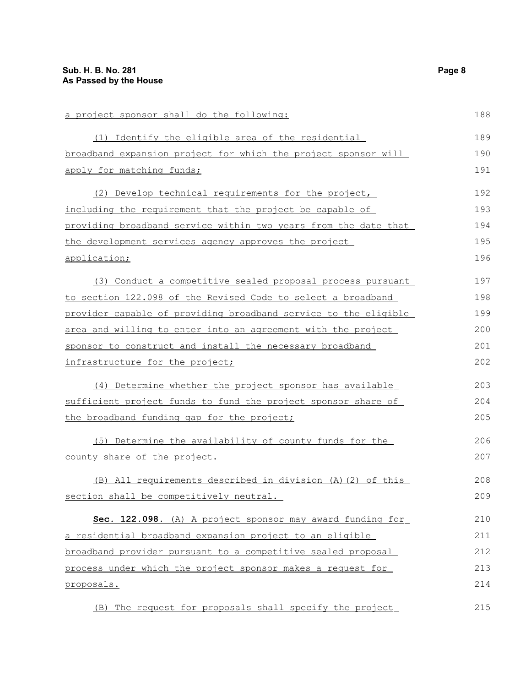| a project sponsor shall do the following:                              | 188 |
|------------------------------------------------------------------------|-----|
| (1) Identify the eligible area of the residential                      | 189 |
| broadband expansion project for which the project sponsor will         | 190 |
| apply for matching funds;                                              | 191 |
| (2) Develop technical requirements for the project,                    | 192 |
| including the requirement that the project be capable of               | 193 |
| <u>providing broadband service within two years from the date that</u> | 194 |
| the development services agency approves the project                   | 195 |
| application;                                                           | 196 |
| (3) Conduct a competitive sealed proposal process pursuant             | 197 |
| to section 122.098 of the Revised Code to select a broadband           | 198 |
| provider capable of providing broadband service to the eligible        | 199 |
| area and willing to enter into an agreement with the project           | 200 |
| sponsor to construct and install the necessary broadband               | 201 |
| infrastructure for the project;                                        | 202 |
| (4) Determine whether the project sponsor has available                | 203 |
| sufficient project funds to fund the project sponsor share of          | 204 |
| the broadband funding gap for the project;                             | 205 |
| (5) Determine the availability of county funds for the                 | 206 |
| county share of the project.                                           | 207 |
| (B) All requirements described in division (A) (2) of this             | 208 |
| section shall be competitively neutral.                                | 209 |
| Sec. 122.098. (A) A project sponsor may award funding for              | 210 |
| a residential broadband expansion project to an eligible               | 211 |
| broadband provider pursuant to a competitive sealed proposal           | 212 |
| process under which the project sponsor makes a request for            | 213 |
| proposals.                                                             | 214 |
| (B) The request for proposals shall specify the project                | 215 |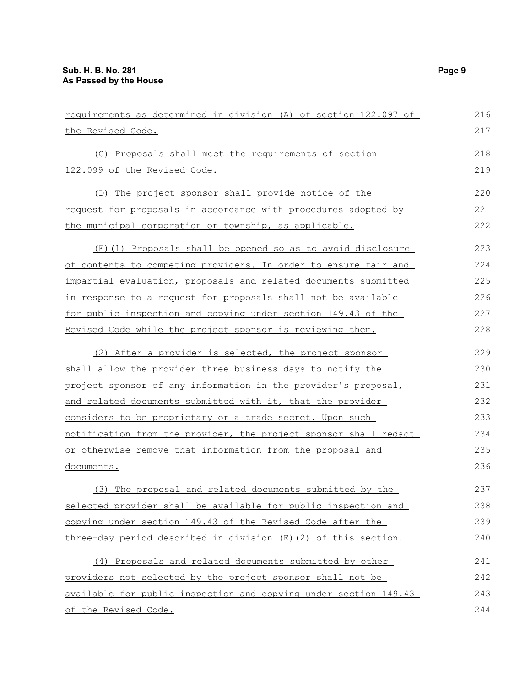| requirements as determined in division (A) of section 122.097 of        | 216 |
|-------------------------------------------------------------------------|-----|
| the Revised Code.                                                       | 217 |
| (C) Proposals shall meet the requirements of section                    | 218 |
| 122.099 of the Revised Code.                                            | 219 |
| (D) The project sponsor shall provide notice of the                     | 220 |
| <u>request for proposals in accordance with procedures adopted by</u>   | 221 |
| the municipal corporation or township, as applicable.                   | 222 |
| (E)(1) Proposals shall be opened so as to avoid disclosure              | 223 |
| of contents to competing providers. In order to ensure fair and         | 224 |
| <u>impartial evaluation, proposals and related documents submitted </u> | 225 |
| in response to a request for proposals shall not be available           | 226 |
| for public inspection and copying under section 149.43 of the           | 227 |
| Revised Code while the project sponsor is reviewing them.               | 228 |
| (2) After a provider is selected, the project sponsor                   | 229 |
| shall allow the provider three business days to notify the              | 230 |
| <u>project sponsor of any information in the provider's proposal, </u>  | 231 |
| and related documents submitted with it, that the provider              | 232 |
| considers to be proprietary or a trade secret. Upon such                | 233 |
| notification from the provider, the project sponsor shall redact        | 234 |
| or otherwise remove that information from the proposal and              | 235 |
| <u>documents.</u>                                                       | 236 |
| (3) The proposal and related documents submitted by the                 | 237 |
| selected provider shall be available for public inspection and          | 238 |
| copying under section 149.43 of the Revised Code after the              | 239 |
| three-day period described in division (E) (2) of this section.         | 240 |
| (4) Proposals and related documents submitted by other                  | 241 |
| providers not selected by the project sponsor shall not be              | 242 |
| available for public inspection and copying under section 149.43        | 243 |
| of the Revised Code.                                                    | 244 |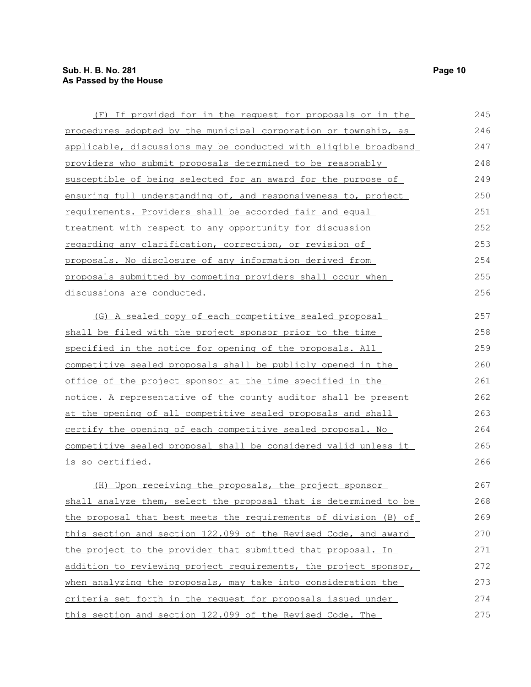| (F) If provided for in the request for proposals or in the        | 245 |
|-------------------------------------------------------------------|-----|
| procedures adopted by the municipal corporation or township, as   | 246 |
| applicable, discussions may be conducted with eligible broadband  | 247 |
| providers who submit proposals determined to be reasonably        | 248 |
| susceptible of being selected for an award for the purpose of     | 249 |
| ensuring full understanding of, and responsiveness to, project    | 250 |
| requirements. Providers shall be accorded fair and equal          | 251 |
| treatment with respect to any opportunity for discussion          | 252 |
| regarding any clarification, correction, or revision of           | 253 |
| proposals. No disclosure of any information derived from          | 254 |
| proposals submitted by competing providers shall occur when       | 255 |
| discussions are conducted.                                        | 256 |
| (G) A sealed copy of each competitive sealed proposal             | 257 |
| shall be filed with the project sponsor prior to the time         | 258 |
| specified in the notice for opening of the proposals. All         | 259 |
| competitive sealed proposals shall be publicly opened in the      | 260 |
| <u>office of the project sponsor at the time specified in the</u> | 261 |
| notice. A representative of the county auditor shall be present   | 262 |
| at the opening of all competitive sealed proposals and shall      | 263 |
| certify the opening of each competitive sealed proposal. No       | 264 |
| competitive sealed proposal shall be considered valid unless it   | 265 |
| <u>is so certified.</u>                                           | 266 |
| (H) Upon receiving the proposals, the project sponsor             | 267 |
| shall analyze them, select the proposal that is determined to be  | 268 |
| the proposal that best meets the requirements of division (B) of  | 269 |
| this section and section 122.099 of the Revised Code, and award   | 270 |
| the project to the provider that submitted that proposal. In      | 271 |
| addition to reviewing project requirements, the project sponsor,  | 272 |
| when analyzing the proposals, may take into consideration the     | 273 |
| criteria set forth in the request for proposals issued under      | 274 |
| this section and section 122.099 of the Revised Code. The         | 275 |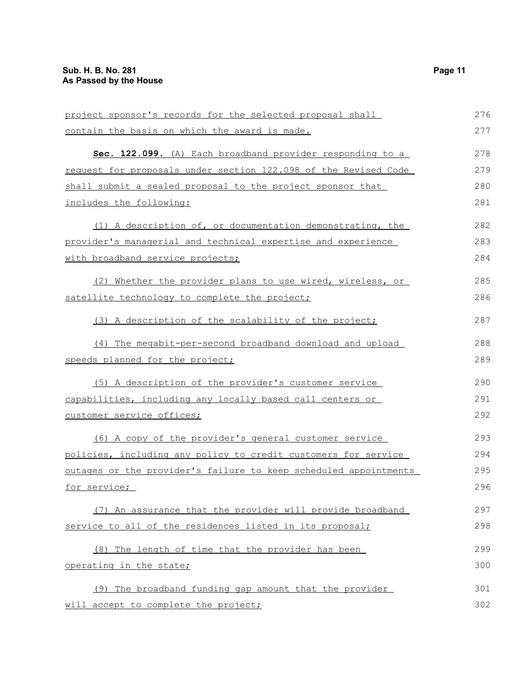| project sponsor's records for the selected proposal shall       | 276 |
|-----------------------------------------------------------------|-----|
| contain the basis on which the award is made.                   | 277 |
| Sec. 122.099. (A) Each broadband provider responding to a       | 278 |
| request for proposals under section 122.098 of the Revised Code | 279 |
| shall submit a sealed proposal to the project sponsor that      | 280 |
| includes the following:                                         | 281 |
| (1) A description of, or documentation demonstrating, the       | 282 |
| provider's managerial and technical expertise and experience    | 283 |
| with broadband service projects;                                | 284 |
| Whether the provider plans to use wired, wireless, or<br>(2)    | 285 |
| satellite technology to complete the project;                   | 286 |
| (3) A description of the scalability of the project;            | 287 |

(4) The megabit-per-second broadband download and upload speeds planned for the project;

(5) A description of the provider's customer service capabilities, including any locally based call centers or customer service offices; 290 291 292

(6) A copy of the provider's general customer service policies, including any policy to credit customers for service outages or the provider's failure to keep scheduled appointments for service; 293 294 295 296

(7) An assurance that the provider will provide broadband service to all of the residences listed in its proposal; 297 298

(8) The length of time that the provider has been operating in the state; 299 300

 (9) The broadband funding gap amount that the provider will accept to complete the project; 301 302

288 289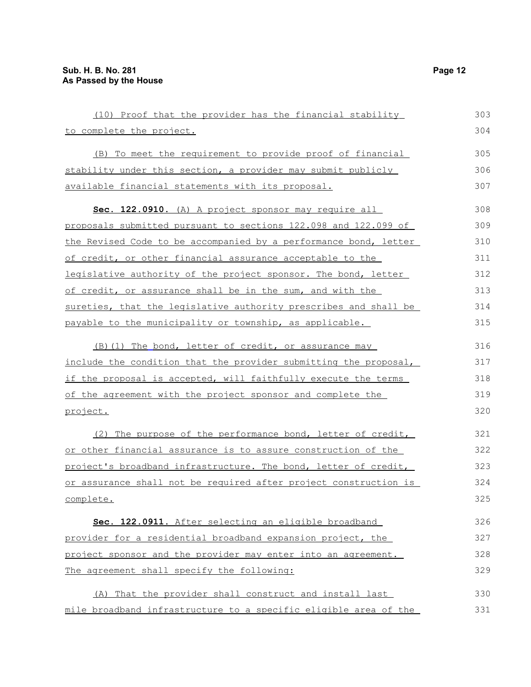| (10) Proof that the provider has the financial stability         | 303 |
|------------------------------------------------------------------|-----|
| to complete the project.                                         | 304 |
| (B) To meet the requirement to provide proof of financial        | 305 |
| stability under this section, a provider may submit publicly     | 306 |
| available financial statements with its proposal.                | 307 |
| Sec. 122.0910. (A) A project sponsor may require all             | 308 |
| proposals submitted pursuant to sections 122.098 and 122.099 of  | 309 |
| the Revised Code to be accompanied by a performance bond, letter | 310 |
| of credit, or other financial assurance acceptable to the        | 311 |
| legislative authority of the project sponsor. The bond, letter   | 312 |
| of credit, or assurance shall be in the sum, and with the        | 313 |
| sureties, that the legislative authority prescribes and shall be | 314 |
| payable to the municipality or township, as applicable.          | 315 |
| (B) (1) The bond, letter of credit, or assurance may             | 316 |
| include the condition that the provider submitting the proposal, | 317 |
| if the proposal is accepted, will faithfully execute the terms   | 318 |
| of the agreement with the project sponsor and complete the       | 319 |
| project.                                                         | 320 |
| (2) The purpose of the performance bond, letter of credit,       | 321 |
| or other financial assurance is to assure construction of the    | 322 |
| project's broadband infrastructure. The bond, letter of credit,  | 323 |
| or assurance shall not be required after project construction is | 324 |
| complete.                                                        | 325 |
| Sec. 122.0911. After selecting an eligible broadband             | 326 |
| provider for a residential broadband expansion project, the      | 327 |
| project sponsor and the provider may enter into an agreement.    | 328 |
| The agreement shall specify the following:                       | 329 |
| That the provider shall construct and install last<br>(A)        | 330 |
| mile broadband infrastructure to a specific eligible area of the | 331 |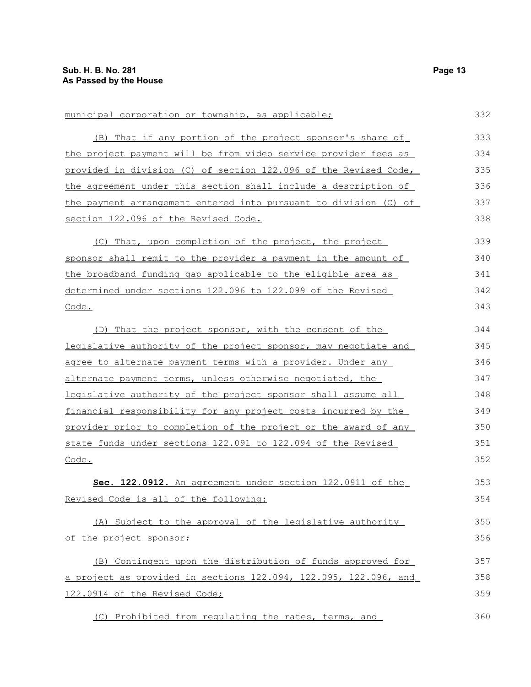municipal corporation or township, as applicable;

 (B) That if any portion of the project sponsor's share of the project payment will be from video service provider fees as provided in division (C) of section 122.096 of the Revised Code, the agreement under this section shall include a description of the payment arrangement entered into pursuant to division (C) of section 122.096 of the Revised Code. (C) That, upon completion of the project, the project sponsor shall remit to the provider a payment in the amount of the broadband funding gap applicable to the eligible area as determined under sections 122.096 to 122.099 of the Revised Code. (D) That the project sponsor, with the consent of the legislative authority of the project sponsor, may negotiate and agree to alternate payment terms with a provider. Under any alternate payment terms, unless otherwise negotiated, the legislative authority of the project sponsor shall assume all financial responsibility for any project costs incurred by the provider prior to completion of the project or the award of any state funds under sections 122.091 to 122.094 of the Revised Code. **Sec. 122.0912.** An agreement under section 122.0911 of the Revised Code is all of the following: (A) Subject to the approval of the legislative authority of the project sponsor; (B) Contingent upon the distribution of funds approved for a project as provided in sections 122.094, 122.095, 122.096, and 122.0914 of the Revised Code; (C) Prohibited from regulating the rates, terms, and 333 334 335 336 337 338 339 340 341 342 343 344 345 346 347 348 349 350 351 352 353 354 355 356 357 358 359 360

332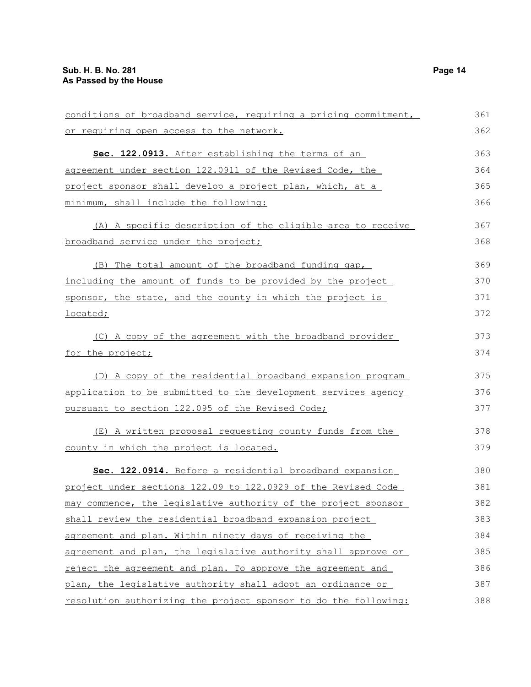| conditions of broadband service, requiring a pricing commitment, | 361 |
|------------------------------------------------------------------|-----|
| or requiring open access to the network.                         | 362 |
| Sec. 122.0913. After establishing the terms of an                | 363 |
| agreement under section 122.0911 of the Revised Code, the        | 364 |
| project sponsor shall develop a project plan, which, at a        | 365 |
| minimum, shall include the following:                            | 366 |
| (A) A specific description of the eligible area to receive       | 367 |
| broadband service under the project;                             | 368 |
| (B) The total amount of the broadband funding gap,               | 369 |
| including the amount of funds to be provided by the project      | 370 |
| sponsor, the state, and the county in which the project is       | 371 |
| <u>located;</u>                                                  | 372 |
| (C) A copy of the agreement with the broadband provider          | 373 |
| for the project;                                                 | 374 |
| (D) A copy of the residential broadband expansion program        | 375 |
| application to be submitted to the development services agency   | 376 |
| pursuant to section 122.095 of the Revised Code;                 | 377 |
| (E) A written proposal requesting county funds from the          | 378 |
| county in which the project is located.                          | 379 |
| Sec. 122.0914. Before a residential broadband expansion          | 380 |
| project under sections 122.09 to 122.0929 of the Revised Code    | 381 |
| may commence, the legislative authority of the project sponsor   | 382 |
| shall review the residential broadband expansion project         | 383 |
| agreement and plan. Within ninety days of receiving the          | 384 |
| agreement and plan, the legislative authority shall approve or   | 385 |
| reject the agreement and plan. To approve the agreement and      | 386 |
| plan, the legislative authority shall adopt an ordinance or      | 387 |
| resolution authorizing the project sponsor to do the following:  | 388 |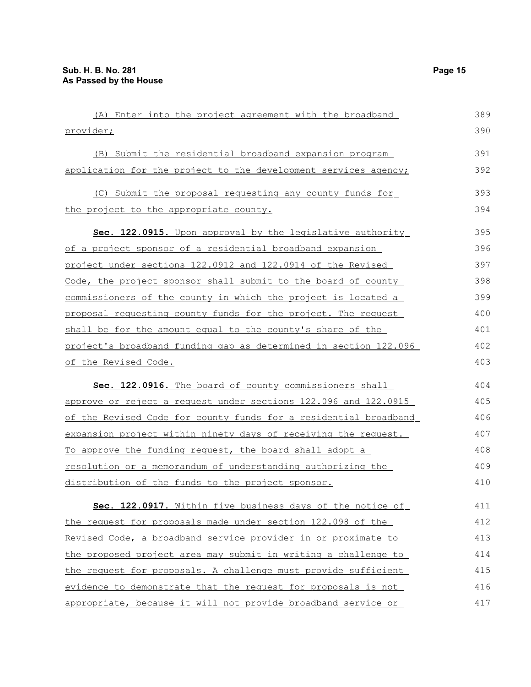| (A) Enter into the project agreement with the broadband              | 389 |
|----------------------------------------------------------------------|-----|
| provider;                                                            | 390 |
| (B) Submit the residential broadband expansion program               | 391 |
| application for the project to the development services agency;      | 392 |
| (C) Submit the proposal requesting any county funds for              | 393 |
| the project to the appropriate county.                               | 394 |
| Sec. 122.0915. Upon approval by the legislative authority            | 395 |
| of a project sponsor of a residential broadband expansion            | 396 |
| project under sections 122.0912 and 122.0914 of the Revised          | 397 |
| Code, the project sponsor shall submit to the board of county        | 398 |
| <u>commissioners of the county in which the project is located a</u> | 399 |
| proposal requesting county funds for the project. The request        | 400 |
| shall be for the amount equal to the county's share of the           | 401 |
| project's broadband funding gap as determined in section 122.096     | 402 |
| of the Revised Code.                                                 | 403 |
| Sec. 122.0916. The board of county commissioners shall               | 404 |
| approve or reject a request under sections 122.096 and 122.0915      | 405 |
| of the Revised Code for county funds for a residential broadband     | 406 |
| expansion project within ninety days of receiving the request.       | 407 |
| To approve the funding request, the board shall adopt a              | 408 |
| resolution or a memorandum of understanding authorizing the          | 409 |
| distribution of the funds to the project sponsor.                    | 410 |
| Sec. 122.0917. Within five business days of the notice of            | 411 |
| the request for proposals made under section 122.098 of the          | 412 |
| Revised Code, a broadband service provider in or proximate to        | 413 |
| the proposed project area may submit in writing a challenge to       | 414 |
| the request for proposals. A challenge must provide sufficient       | 415 |
| evidence to demonstrate that the request for proposals is not        | 416 |
| appropriate, because it will not provide broadband service or        | 417 |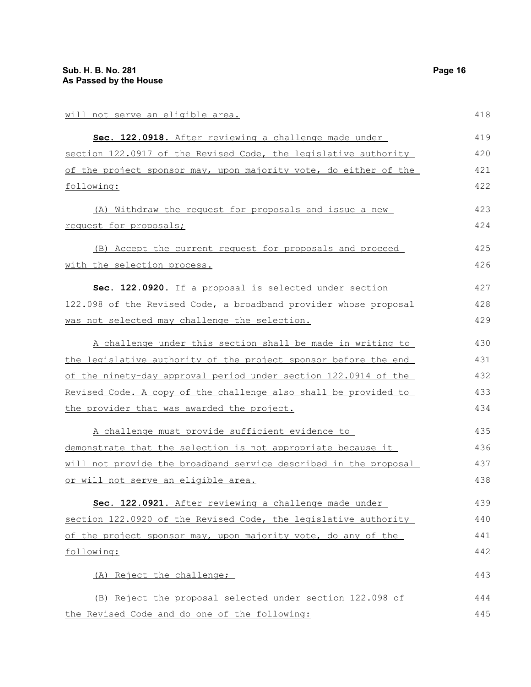| will not serve an eligible area.                                 | 418 |
|------------------------------------------------------------------|-----|
| Sec. 122.0918. After reviewing a challenge made under            | 419 |
| section 122.0917 of the Revised Code, the legislative authority  | 420 |
| of the project sponsor may, upon majority vote, do either of the | 421 |
| following:                                                       | 422 |
| (A) Withdraw the request for proposals and issue a new           | 423 |
| request for proposals;                                           | 424 |
| (B) Accept the current request for proposals and proceed         | 425 |
| with the selection process.                                      | 426 |
| Sec. 122.0920. If a proposal is selected under section           | 427 |
| 122.098 of the Revised Code, a broadband provider whose proposal | 428 |
| was not selected may challenge the selection.                    | 429 |
| A challenge under this section shall be made in writing to       | 430 |
| the legislative authority of the project sponsor before the end  | 431 |
| of the ninety-day approval period under section 122.0914 of the  | 432 |
| Revised Code. A copy of the challenge also shall be provided to  | 433 |
| the provider that was awarded the project.                       | 434 |
| A challenge must provide sufficient evidence to                  | 435 |
| demonstrate that the selection is not appropriate because it     | 436 |
| will not provide the broadband service described in the proposal | 437 |
| or will not serve an eligible area.                              | 438 |
| Sec. 122.0921. After reviewing a challenge made under            | 439 |
| section 122.0920 of the Revised Code, the legislative authority  | 440 |
| of the project sponsor may, upon majority vote, do any of the    | 441 |
| following:                                                       | 442 |
| (A) Reject the challenge;                                        | 443 |
| (B) Reject the proposal selected under section 122.098 of        | 444 |
| the Revised Code and do one of the following:                    | 445 |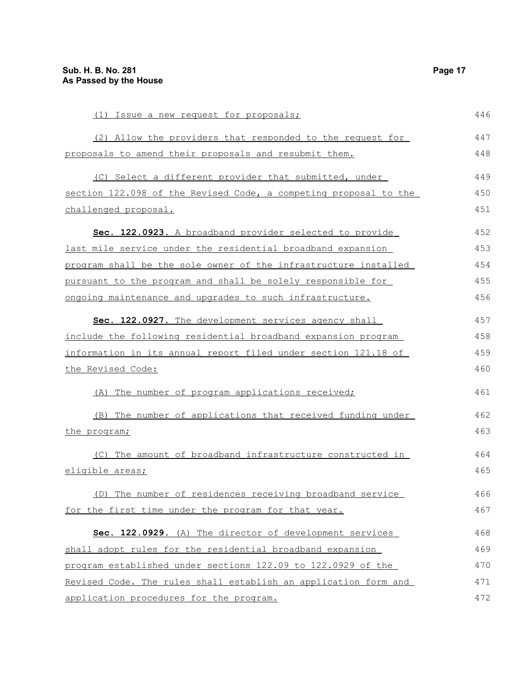| (1) Issue a new request for proposals;                           | 446 |
|------------------------------------------------------------------|-----|
| (2) Allow the providers that responded to the request for        | 447 |
| proposals to amend their proposals and resubmit them.            | 448 |
| (C) Select a different provider that submitted, under            | 449 |
| section 122.098 of the Revised Code, a competing proposal to the | 450 |
| challenged proposal.                                             | 451 |
| Sec. 122.0923. A broadband provider selected to provide          | 452 |
| last mile service under the residential broadband expansion      | 453 |
| program shall be the sole owner of the infrastructure installed  | 454 |
| pursuant to the program and shall be solely responsible for      | 455 |
| ongoing maintenance and upgrades to such infrastructure.         | 456 |
| Sec. 122.0927. The development services agency shall             | 457 |
| include the following residential broadband expansion program    | 458 |
| information in its annual report filed under section 121.18 of   | 459 |
| the Revised Code:                                                | 460 |
| (A) The number of program applications received;                 | 461 |
| (B) The number of applications that received funding under       | 462 |
| <u>the program;</u>                                              | 463 |
| (C) The amount of broadband infrastructure constructed in        | 464 |
| eligible areas;                                                  | 465 |
| (D) The number of residences receiving broadband service         | 466 |
| for the first time under the program for that year.              | 467 |
| Sec. 122.0929. (A) The director of development services          | 468 |
| shall adopt rules for the residential broadband expansion        | 469 |
| program established under sections 122.09 to 122.0929 of the     | 470 |
| Revised Code. The rules shall establish an application form and  | 471 |
| application procedures for the program.                          | 472 |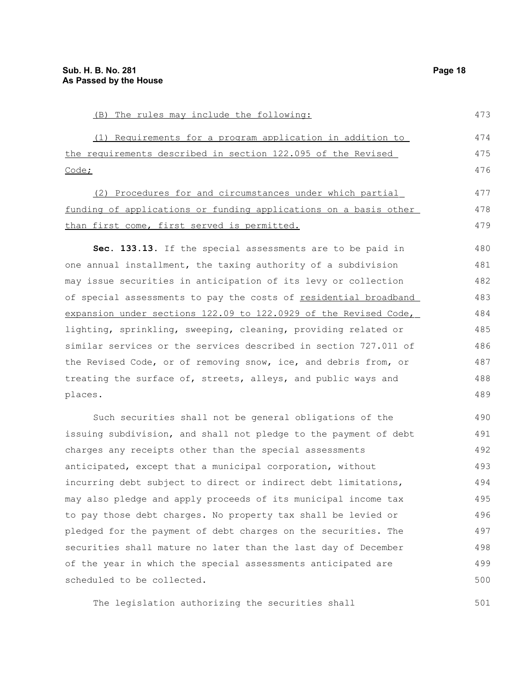| (B) The rules may include the following:                         | 473 |
|------------------------------------------------------------------|-----|
| (1) Requirements for a program application in addition to        | 474 |
| the requirements described in section 122.095 of the Revised     | 475 |
| Code;                                                            | 476 |
| (2) Procedures for and circumstances under which partial         | 477 |
| funding of applications or funding applications on a basis other | 478 |
| than first come, first served is permitted.                      | 479 |
| Sec. 133.13. If the special assessments are to be paid in        | 480 |
| one annual installment, the taxing authority of a subdivision    | 481 |
| may issue securities in anticipation of its levy or collection   | 482 |
| of special assessments to pay the costs of residential broadband | 483 |
| expansion under sections 122.09 to 122.0929 of the Revised Code, | 484 |
| lighting, sprinkling, sweeping, cleaning, providing related or   | 485 |
| similar services or the services described in section 727.011 of | 486 |
| the Revised Code, or of removing snow, ice, and debris from, or  | 487 |
| treating the surface of, streets, alleys, and public ways and    | 488 |
| places.                                                          | 489 |
| Such securities shall not be general obligations of the          | 490 |
| issuing subdivision, and shall not pledge to the payment of debt | 491 |
| charges any receipts other than the special assessments          | 492 |
| anticipated, except that a municipal corporation, without        | 493 |
| incurring debt subject to direct or indirect debt limitations,   | 494 |

incurring debt subject to direct or indirect debt limitations, may also pledge and apply proceeds of its municipal income tax to pay those debt charges. No property tax shall be levied or pledged for the payment of debt charges on the securities. The securities shall mature no later than the last day of December of the year in which the special assessments anticipated are scheduled to be collected. 495 496 497 498 499 500

The legislation authorizing the securities shall

501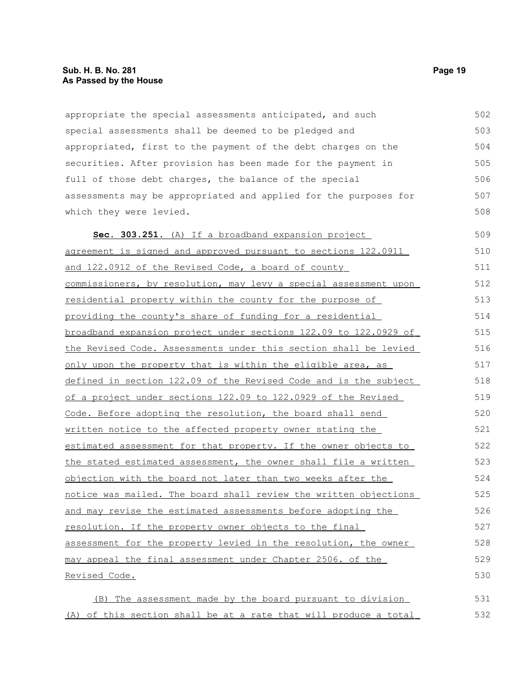appropriate the special assessments anticipated, and such special assessments shall be deemed to be pledged and appropriated, first to the payment of the debt charges on the securities. After provision has been made for the payment in full of those debt charges, the balance of the special assessments may be appropriated and applied for the purposes for which they were levied. 502 503 504 505 506 507 508

 **Sec. 303.251.** (A) If a broadband expansion project agreement is signed and approved pursuant to sections 122.0911 and 122.0912 of the Revised Code, a board of county commissioners, by resolution, may levy a special assessment upon residential property within the county for the purpose of providing the county's share of funding for a residential broadband expansion project under sections 122.09 to 122.0929 of the Revised Code. Assessments under this section shall be levied only upon the property that is within the eligible area, as defined in section 122.09 of the Revised Code and is the subject of a project under sections 122.09 to 122.0929 of the Revised Code. Before adopting the resolution, the board shall send written notice to the affected property owner stating the estimated assessment for that property. If the owner objects to the stated estimated assessment, the owner shall file a written objection with the board not later than two weeks after the notice was mailed. The board shall review the written objections and may revise the estimated assessments before adopting the resolution. If the property owner objects to the final assessment for the property levied in the resolution, the owner may appeal the final assessment under Chapter 2506. of the Revised Code. 509 510 511 512 513 514 515 516 517 518 519 520 521 522 523 524 525 526 527 528 529 530

 (B) The assessment made by the board pursuant to division (A) of this section shall be at a rate that will produce a total 531 532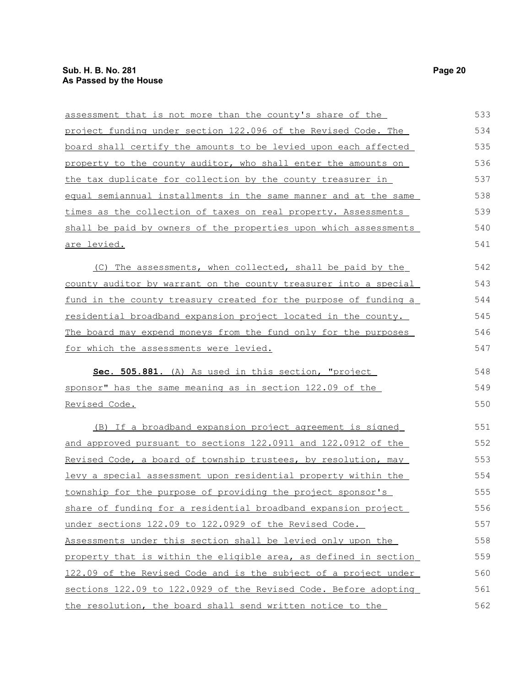| assessment that is not more than the county's share of the            | 533 |
|-----------------------------------------------------------------------|-----|
| project funding under section 122.096 of the Revised Code. The        | 534 |
| board shall certify the amounts to be levied upon each affected       | 535 |
| property to the county auditor, who shall enter the amounts on        | 536 |
| the tax duplicate for collection by the county treasurer in           | 537 |
| equal semiannual installments in the same manner and at the same      | 538 |
| times as the collection of taxes on real property. Assessments        | 539 |
| shall be paid by owners of the properties upon which assessments      | 540 |
| <u>are levied.</u>                                                    | 541 |
| (C) The assessments, when collected, shall be paid by the             | 542 |
| county auditor by warrant on the county treasurer into a special      | 543 |
| fund in the county treasury created for the purpose of funding a      | 544 |
| <u>residential broadband expansion project located in the county.</u> | 545 |
| The board may expend moneys from the fund only for the purposes       | 546 |
| <u>for which the assessments were levied.</u>                         | 547 |
| Sec. 505.881. (A) As used in this section, "project                   | 548 |
| sponsor" has the same meaning as in section 122.09 of the             | 549 |
| Revised Code.                                                         | 550 |
| (B) If a broadband expansion project agreement is signed              | 551 |
| and approved pursuant to sections 122.0911 and 122.0912 of the        | 552 |
| Revised Code, a board of township trustees, by resolution, may        | 553 |
| levy a special assessment upon residential property within the        | 554 |
| township for the purpose of providing the project sponsor's           | 555 |
| share of funding for a residential broadband expansion project        | 556 |
| under sections 122.09 to 122.0929 of the Revised Code.                | 557 |
| Assessments under this section shall be levied only upon the          | 558 |
| property that is within the eligible area, as defined in section      | 559 |
| 122.09 of the Revised Code and is the subject of a project under      | 560 |
| sections 122.09 to 122.0929 of the Revised Code. Before adopting      | 561 |
| the resolution, the board shall send written notice to the            | 562 |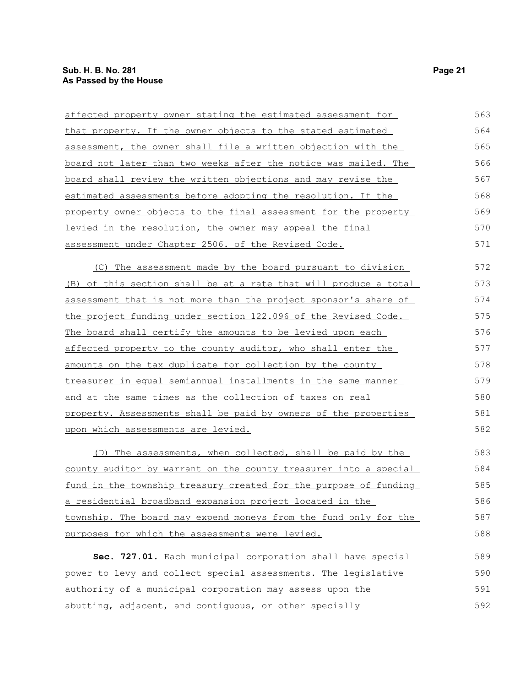affected property owner stating the estimated assessment for that property. If the owner objects to the stated estimated assessment, the owner shall file a written objection with the board not later than two weeks after the notice was mailed. The board shall review the written objections and may revise the estimated assessments before adopting the resolution. If the property owner objects to the final assessment for the property levied in the resolution, the owner may appeal the final assessment under Chapter 2506. of the Revised Code. (C) The assessment made by the board pursuant to division (B) of this section shall be at a rate that will produce a total assessment that is not more than the project sponsor's share of the project funding under section 122.096 of the Revised Code. The board shall certify the amounts to be levied upon each affected property to the county auditor, who shall enter the amounts on the tax duplicate for collection by the county treasurer in equal semiannual installments in the same manner and at the same times as the collection of taxes on real property. Assessments shall be paid by owners of the properties upon which assessments are levied. (D) The assessments, when collected, shall be paid by the 563 564 565 566 567 568 569 570 571 572 573 574 575 576 577 578 579 580 581 582 583

county auditor by warrant on the county treasurer into a special fund in the township treasury created for the purpose of funding a residential broadband expansion project located in the township. The board may expend moneys from the fund only for the purposes for which the assessments were levied. 584 585 586 587 588

**Sec. 727.01.** Each municipal corporation shall have special power to levy and collect special assessments. The legislative authority of a municipal corporation may assess upon the abutting, adjacent, and contiguous, or other specially 589 590 591 592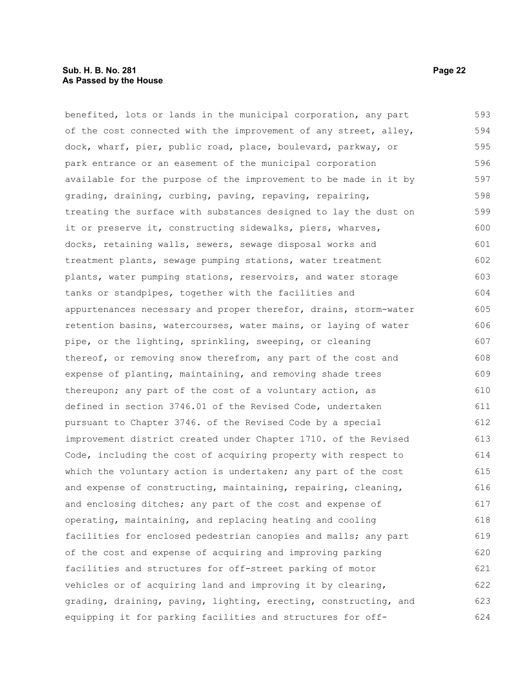#### **Sub. H. B. No. 281 Page 22 As Passed by the House**

benefited, lots or lands in the municipal corporation, any part of the cost connected with the improvement of any street, alley, dock, wharf, pier, public road, place, boulevard, parkway, or park entrance or an easement of the municipal corporation available for the purpose of the improvement to be made in it by grading, draining, curbing, paving, repaving, repairing, treating the surface with substances designed to lay the dust on it or preserve it, constructing sidewalks, piers, wharves, docks, retaining walls, sewers, sewage disposal works and treatment plants, sewage pumping stations, water treatment plants, water pumping stations, reservoirs, and water storage tanks or standpipes, together with the facilities and appurtenances necessary and proper therefor, drains, storm-water retention basins, watercourses, water mains, or laying of water pipe, or the lighting, sprinkling, sweeping, or cleaning thereof, or removing snow therefrom, any part of the cost and expense of planting, maintaining, and removing shade trees thereupon; any part of the cost of a voluntary action, as defined in section 3746.01 of the Revised Code, undertaken pursuant to Chapter 3746. of the Revised Code by a special improvement district created under Chapter 1710. of the Revised Code, including the cost of acquiring property with respect to which the voluntary action is undertaken; any part of the cost and expense of constructing, maintaining, repairing, cleaning, and enclosing ditches; any part of the cost and expense of operating, maintaining, and replacing heating and cooling facilities for enclosed pedestrian canopies and malls; any part of the cost and expense of acquiring and improving parking facilities and structures for off-street parking of motor vehicles or of acquiring land and improving it by clearing, grading, draining, paving, lighting, erecting, constructing, and equipping it for parking facilities and structures for off-593 594 595 596 597 598 599 600 601 602 603 604 605 606 607 608 609 610 611 612 613 614 615 616 617 618 619 620 621 622 623 624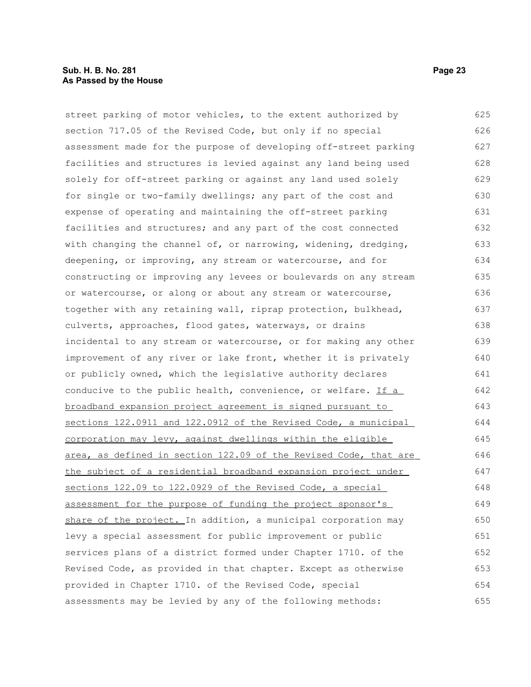#### **Sub. H. B. No. 281 Page 23 As Passed by the House**

street parking of motor vehicles, to the extent authorized by section 717.05 of the Revised Code, but only if no special assessment made for the purpose of developing off-street parking facilities and structures is levied against any land being used solely for off-street parking or against any land used solely for single or two-family dwellings; any part of the cost and expense of operating and maintaining the off-street parking facilities and structures; and any part of the cost connected with changing the channel of, or narrowing, widening, dredging, deepening, or improving, any stream or watercourse, and for constructing or improving any levees or boulevards on any stream or watercourse, or along or about any stream or watercourse, together with any retaining wall, riprap protection, bulkhead, culverts, approaches, flood gates, waterways, or drains incidental to any stream or watercourse, or for making any other improvement of any river or lake front, whether it is privately or publicly owned, which the legislative authority declares conducive to the public health, convenience, or welfare. If  $a$ broadband expansion project agreement is signed pursuant to sections 122.0911 and 122.0912 of the Revised Code, a municipal corporation may levy, against dwellings within the eligible area, as defined in section 122.09 of the Revised Code, that are the subject of a residential broadband expansion project under sections 122.09 to 122.0929 of the Revised Code, a special assessment for the purpose of funding the project sponsor's share of the project. In addition, a municipal corporation may levy a special assessment for public improvement or public services plans of a district formed under Chapter 1710. of the Revised Code, as provided in that chapter. Except as otherwise provided in Chapter 1710. of the Revised Code, special assessments may be levied by any of the following methods: 625 626 627 628 629 630 631 632 633 634 635 636 637 638 639 640 641 642 643 644 645 646 647 648 649 650 651 652 653 654 655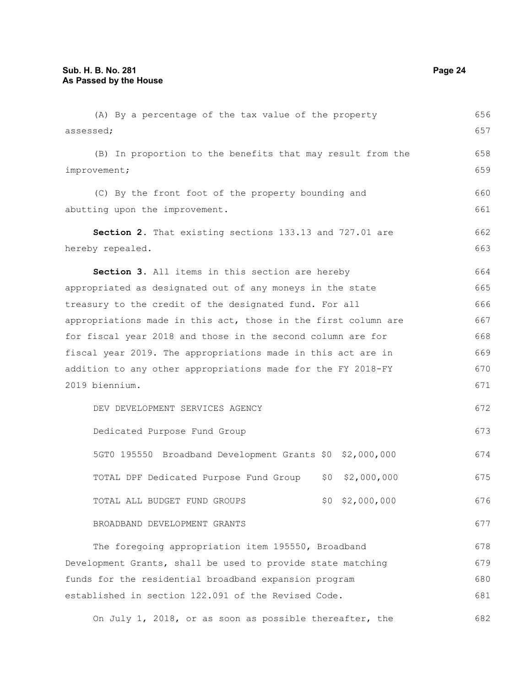(A) By a percentage of the tax value of the property assessed; (B) In proportion to the benefits that may result from the improvement; (C) By the front foot of the property bounding and abutting upon the improvement. **Section 2.** That existing sections 133.13 and 727.01 are hereby repealed. **Section 3.** All items in this section are hereby appropriated as designated out of any moneys in the state treasury to the credit of the designated fund. For all appropriations made in this act, those in the first column are for fiscal year 2018 and those in the second column are for fiscal year 2019. The appropriations made in this act are in addition to any other appropriations made for the FY 2018-FY 2019 biennium. DEV DEVELOPMENT SERVICES AGENCY Dedicated Purpose Fund Group 5GT0 195550 Broadband Development Grants \$0 \$2,000,000 TOTAL DPF Dedicated Purpose Fund Group \$0 \$2,000,000 TOTAL ALL BUDGET FUND GROUPS  $$0$  \$2,000,000 BROADBAND DEVELOPMENT GRANTS The foregoing appropriation item 195550, Broadband Development Grants, shall be used to provide state matching funds for the residential broadband expansion program established in section 122.091 of the Revised Code. 656 657 658 659 660 661 662 663 664 665 666 667 668 669 670 671 672 673 674 675 676 677 678 679 680 681

On July 1, 2018, or as soon as possible thereafter, the 682